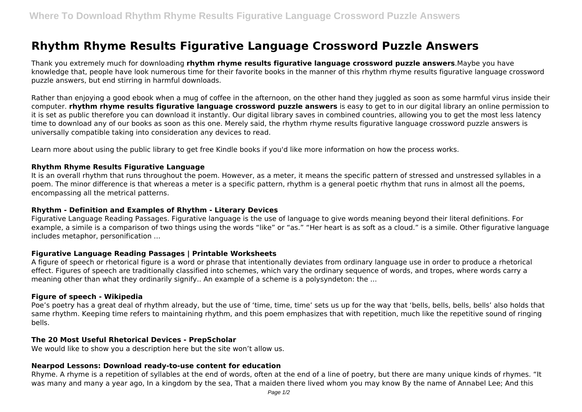# **Rhythm Rhyme Results Figurative Language Crossword Puzzle Answers**

Thank you extremely much for downloading **rhythm rhyme results figurative language crossword puzzle answers**.Maybe you have knowledge that, people have look numerous time for their favorite books in the manner of this rhythm rhyme results figurative language crossword puzzle answers, but end stirring in harmful downloads.

Rather than enjoying a good ebook when a mug of coffee in the afternoon, on the other hand they juggled as soon as some harmful virus inside their computer. **rhythm rhyme results figurative language crossword puzzle answers** is easy to get to in our digital library an online permission to it is set as public therefore you can download it instantly. Our digital library saves in combined countries, allowing you to get the most less latency time to download any of our books as soon as this one. Merely said, the rhythm rhyme results figurative language crossword puzzle answers is universally compatible taking into consideration any devices to read.

Learn more about using the public library to get free Kindle books if you'd like more information on how the process works.

# **Rhythm Rhyme Results Figurative Language**

It is an overall rhythm that runs throughout the poem. However, as a meter, it means the specific pattern of stressed and unstressed syllables in a poem. The minor difference is that whereas a meter is a specific pattern, rhythm is a general poetic rhythm that runs in almost all the poems, encompassing all the metrical patterns.

## **Rhythm - Definition and Examples of Rhythm - Literary Devices**

Figurative Language Reading Passages. Figurative language is the use of language to give words meaning beyond their literal definitions. For example, a simile is a comparison of two things using the words "like" or "as." "Her heart is as soft as a cloud." is a simile. Other figurative language includes metaphor, personification ...

## **Figurative Language Reading Passages | Printable Worksheets**

A figure of speech or rhetorical figure is a word or phrase that intentionally deviates from ordinary language use in order to produce a rhetorical effect. Figures of speech are traditionally classified into schemes, which vary the ordinary sequence of words, and tropes, where words carry a meaning other than what they ordinarily signify.. An example of a scheme is a polysyndeton: the ...

#### **Figure of speech - Wikipedia**

Poe's poetry has a great deal of rhythm already, but the use of 'time, time, time' sets us up for the way that 'bells, bells, bells, bells' also holds that same rhythm. Keeping time refers to maintaining rhythm, and this poem emphasizes that with repetition, much like the repetitive sound of ringing bells.

## **The 20 Most Useful Rhetorical Devices - PrepScholar**

We would like to show you a description here but the site won't allow us.

#### **Nearpod Lessons: Download ready-to-use content for education**

Rhyme. A rhyme is a repetition of syllables at the end of words, often at the end of a line of poetry, but there are many unique kinds of rhymes. "It was many and many a year ago, In a kingdom by the sea, That a maiden there lived whom you may know By the name of Annabel Lee; And this